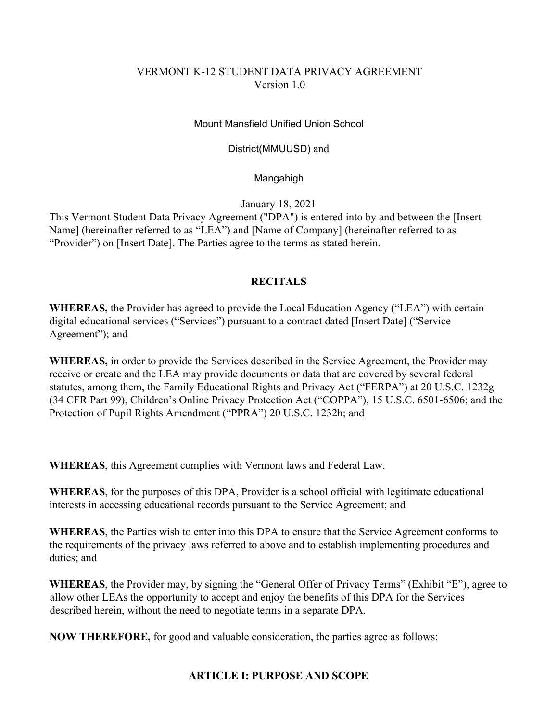# VERMONT K-12 STUDENT DATA PRIVACY AGREEMENT Version 1.0

## Mount Mansfield Unified Union School

### District(MMUUSD) and

## Mangahigh

January 18, 2021

This Vermont Student Data Privacy Agreement ("DPA") is entered into by and between the [Insert Name] (hereinafter referred to as "LEA") and [Name of Company] (hereinafter referred to as "Provider") on [Insert Date]. The Parties agree to the terms as stated herein.

# **RECITALS**

**WHEREAS,** the Provider has agreed to provide the Local Education Agency ("LEA") with certain digital educational services ("Services") pursuant to a contract dated [Insert Date] ("Service Agreement"); and

**WHEREAS,** in order to provide the Services described in the Service Agreement, the Provider may receive or create and the LEA may provide documents or data that are covered by several federal statutes, among them, the Family Educational Rights and Privacy Act ("FERPA") at 20 U.S.C. 1232g (34 CFR Part 99), Children's Online Privacy Protection Act ("COPPA"), 15 U.S.C. 6501-6506; and the Protection of Pupil Rights Amendment ("PPRA") 20 U.S.C. 1232h; and

**WHEREAS**, this Agreement complies with Vermont laws and Federal Law.

**WHEREAS**, for the purposes of this DPA, Provider is a school official with legitimate educational interests in accessing educational records pursuant to the Service Agreement; and

**WHEREAS**, the Parties wish to enter into this DPA to ensure that the Service Agreement conforms to the requirements of the privacy laws referred to above and to establish implementing procedures and duties; and

**WHEREAS**, the Provider may, by signing the "General Offer of Privacy Terms" (Exhibit "E"), agree to allow other LEAs the opportunity to accept and enjoy the benefits of this DPA for the Services described herein, without the need to negotiate terms in a separate DPA.

**NOW THEREFORE,** for good and valuable consideration, the parties agree as follows:

### **ARTICLE I: PURPOSE AND SCOPE**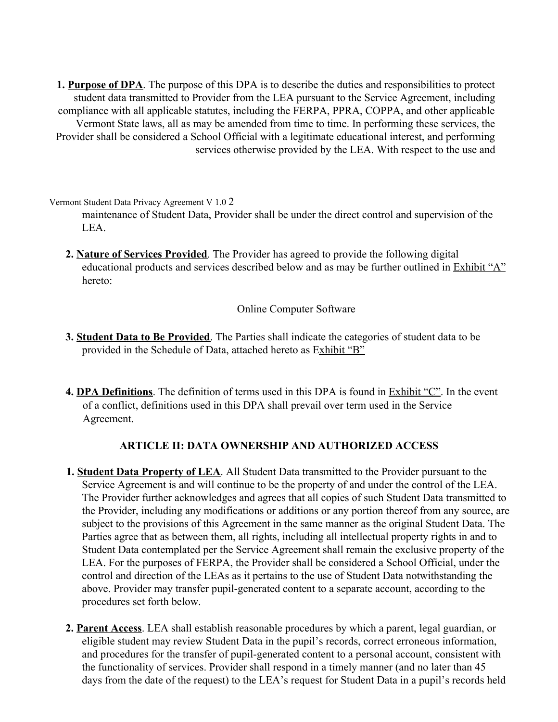**1. Purpose of DPA**. The purpose of this DPA is to describe the duties and responsibilities to protect student data transmitted to Provider from the LEA pursuant to the Service Agreement, including compliance with all applicable statutes, including the FERPA, PPRA, COPPA, and other applicable Vermont State laws, all as may be amended from time to time. In performing these services, the Provider shall be considered a School Official with a legitimate educational interest, and performing services otherwise provided by the LEA. With respect to the use and

Vermont Student Data Privacy Agreement V 1.0 2

maintenance of Student Data, Provider shall be under the direct control and supervision of the LEA.

**2. Nature of Services Provided**. The Provider has agreed to provide the following digital educational products and services described below and as may be further outlined in Exhibit "A" hereto:

Online Computer Software

- **3. Student Data to Be Provided**. The Parties shall indicate the categories of student data to be provided in the Schedule of Data, attached hereto as Exhibit "B"
- **4. DPA Definitions**. The definition of terms used in this DPA is found in Exhibit "C". In the event of a conflict, definitions used in this DPA shall prevail over term used in the Service Agreement.

# **ARTICLE II: DATA OWNERSHIP AND AUTHORIZED ACCESS**

- **1. Student Data Property of LEA**. All Student Data transmitted to the Provider pursuant to the Service Agreement is and will continue to be the property of and under the control of the LEA. The Provider further acknowledges and agrees that all copies of such Student Data transmitted to the Provider, including any modifications or additions or any portion thereof from any source, are subject to the provisions of this Agreement in the same manner as the original Student Data. The Parties agree that as between them, all rights, including all intellectual property rights in and to Student Data contemplated per the Service Agreement shall remain the exclusive property of the LEA. For the purposes of FERPA, the Provider shall be considered a School Official, under the control and direction of the LEAs as it pertains to the use of Student Data notwithstanding the above. Provider may transfer pupil-generated content to a separate account, according to the procedures set forth below.
- **2. Parent Access**. LEA shall establish reasonable procedures by which a parent, legal guardian, or eligible student may review Student Data in the pupil's records, correct erroneous information, and procedures for the transfer of pupil-generated content to a personal account, consistent with the functionality of services. Provider shall respond in a timely manner (and no later than 45 days from the date of the request) to the LEA's request for Student Data in a pupil's records held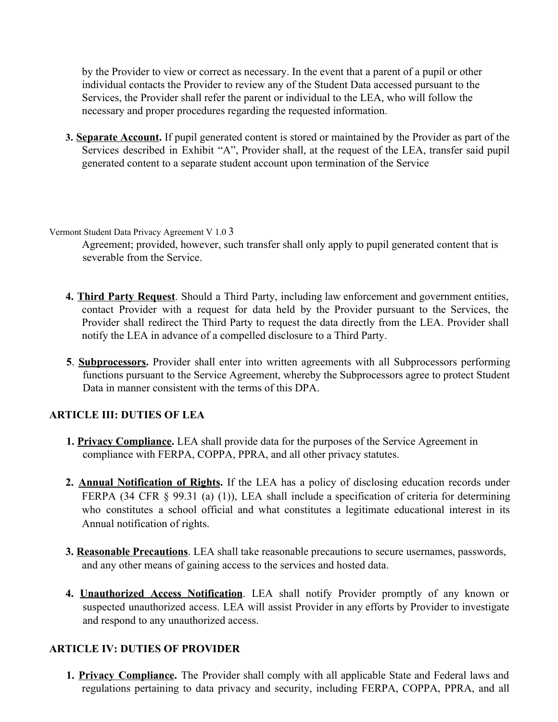by the Provider to view or correct as necessary. In the event that a parent of a pupil or other individual contacts the Provider to review any of the Student Data accessed pursuant to the Services, the Provider shall refer the parent or individual to the LEA, who will follow the necessary and proper procedures regarding the requested information.

**3. Separate Account.** If pupil generated content is stored or maintained by the Provider as part of the Services described in Exhibit "A", Provider shall, at the request of the LEA, transfer said pupil generated content to a separate student account upon termination of the Service

Vermont Student Data Privacy Agreement V 1.0 3

Agreement; provided, however, such transfer shall only apply to pupil generated content that is severable from the Service.

- **4. Third Party Request**. Should a Third Party, including law enforcement and government entities, contact Provider with a request for data held by the Provider pursuant to the Services, the Provider shall redirect the Third Party to request the data directly from the LEA. Provider shall notify the LEA in advance of a compelled disclosure to a Third Party.
- **5**. **Subprocessors.** Provider shall enter into written agreements with all Subprocessors performing functions pursuant to the Service Agreement, whereby the Subprocessors agree to protect Student Data in manner consistent with the terms of this DPA.

# **ARTICLE III: DUTIES OF LEA**

- **1. Privacy Compliance.** LEA shall provide data for the purposes of the Service Agreement in compliance with FERPA, COPPA, PPRA, and all other privacy statutes.
- **2. Annual Notification of Rights.** If the LEA has a policy of disclosing education records under FERPA (34 CFR § 99.31 (a) (1)), LEA shall include a specification of criteria for determining who constitutes a school official and what constitutes a legitimate educational interest in its Annual notification of rights.
- **3. Reasonable Precautions**. LEA shall take reasonable precautions to secure usernames, passwords, and any other means of gaining access to the services and hosted data.
- **4. Unauthorized Access Notification**. LEA shall notify Provider promptly of any known or suspected unauthorized access. LEA will assist Provider in any efforts by Provider to investigate and respond to any unauthorized access.

# **ARTICLE IV: DUTIES OF PROVIDER**

**1. Privacy Compliance.** The Provider shall comply with all applicable State and Federal laws and regulations pertaining to data privacy and security, including FERPA, COPPA, PPRA, and all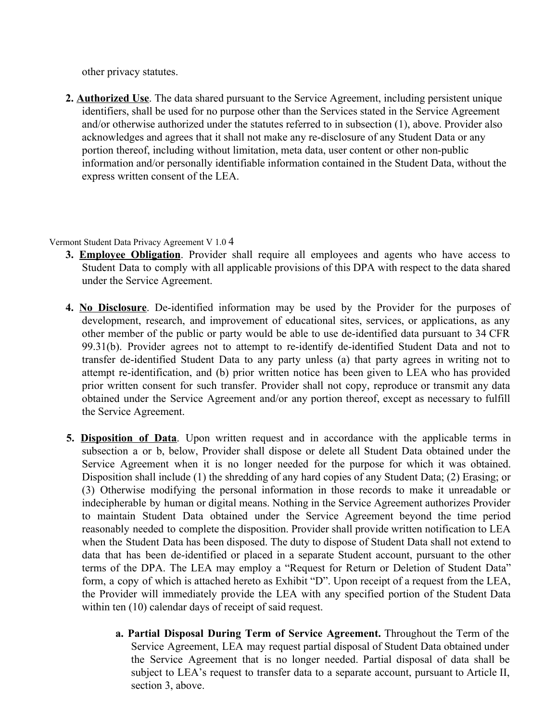other privacy statutes.

**2. Authorized Use**. The data shared pursuant to the Service Agreement, including persistent unique identifiers, shall be used for no purpose other than the Services stated in the Service Agreement and/or otherwise authorized under the statutes referred to in subsection (1), above. Provider also acknowledges and agrees that it shall not make any re-disclosure of any Student Data or any portion thereof, including without limitation, meta data, user content or other non-public information and/or personally identifiable information contained in the Student Data, without the express written consent of the LEA.

Vermont Student Data Privacy Agreement V 1.0 4

- **3. Employee Obligation**. Provider shall require all employees and agents who have access to Student Data to comply with all applicable provisions of this DPA with respect to the data shared under the Service Agreement.
- **4. No Disclosure**. De-identified information may be used by the Provider for the purposes of development, research, and improvement of educational sites, services, or applications, as any other member of the public or party would be able to use de-identified data pursuant to 34 CFR 99.31(b). Provider agrees not to attempt to re-identify de-identified Student Data and not to transfer de-identified Student Data to any party unless (a) that party agrees in writing not to attempt re-identification, and (b) prior written notice has been given to LEA who has provided prior written consent for such transfer. Provider shall not copy, reproduce or transmit any data obtained under the Service Agreement and/or any portion thereof, except as necessary to fulfill the Service Agreement.
- **5. Disposition of Data**. Upon written request and in accordance with the applicable terms in subsection a or b, below, Provider shall dispose or delete all Student Data obtained under the Service Agreement when it is no longer needed for the purpose for which it was obtained. Disposition shall include (1) the shredding of any hard copies of any Student Data; (2) Erasing; or (3) Otherwise modifying the personal information in those records to make it unreadable or indecipherable by human or digital means. Nothing in the Service Agreement authorizes Provider to maintain Student Data obtained under the Service Agreement beyond the time period reasonably needed to complete the disposition. Provider shall provide written notification to LEA when the Student Data has been disposed. The duty to dispose of Student Data shall not extend to data that has been de-identified or placed in a separate Student account, pursuant to the other terms of the DPA. The LEA may employ a "Request for Return or Deletion of Student Data" form, a copy of which is attached hereto as Exhibit "D". Upon receipt of a request from the LEA, the Provider will immediately provide the LEA with any specified portion of the Student Data within ten (10) calendar days of receipt of said request.
	- **a. Partial Disposal During Term of Service Agreement.** Throughout the Term of the Service Agreement, LEA may request partial disposal of Student Data obtained under the Service Agreement that is no longer needed. Partial disposal of data shall be subject to LEA's request to transfer data to a separate account, pursuant to Article II, section 3, above.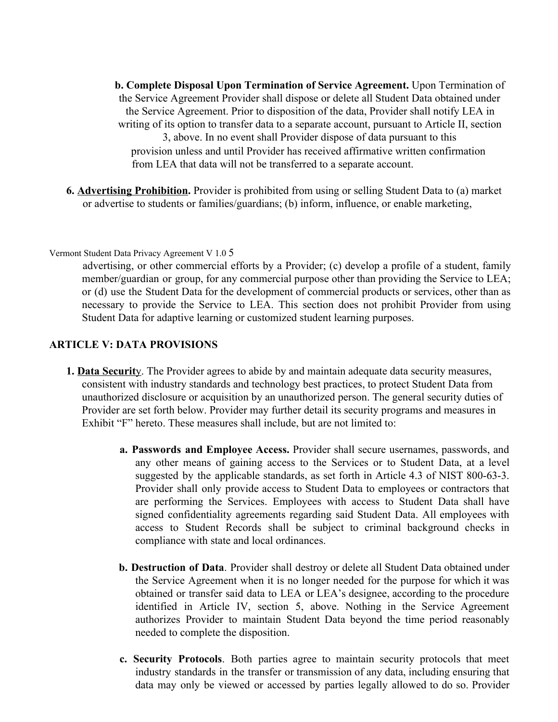**b. Complete Disposal Upon Termination of Service Agreement.** Upon Termination of the Service Agreement Provider shall dispose or delete all Student Data obtained under the Service Agreement. Prior to disposition of the data, Provider shall notify LEA in writing of its option to transfer data to a separate account, pursuant to Article II, section 3, above. In no event shall Provider dispose of data pursuant to this provision unless and until Provider has received affirmative written confirmation from LEA that data will not be transferred to a separate account.

**6. Advertising Prohibition.** Provider is prohibited from using or selling Student Data to (a) market or advertise to students or families/guardians; (b) inform, influence, or enable marketing,

#### Vermont Student Data Privacy Agreement V 1.0 5

advertising, or other commercial efforts by a Provider; (c) develop a profile of a student, family member/guardian or group, for any commercial purpose other than providing the Service to LEA; or (d) use the Student Data for the development of commercial products or services, other than as necessary to provide the Service to LEA. This section does not prohibit Provider from using Student Data for adaptive learning or customized student learning purposes.

#### **ARTICLE V: DATA PROVISIONS**

- **1. Data Securit**y. The Provider agrees to abide by and maintain adequate data security measures, consistent with industry standards and technology best practices, to protect Student Data from unauthorized disclosure or acquisition by an unauthorized person. The general security duties of Provider are set forth below. Provider may further detail its security programs and measures in Exhibit "F" hereto. These measures shall include, but are not limited to:
	- **a. Passwords and Employee Access.** Provider shall secure usernames, passwords, and any other means of gaining access to the Services or to Student Data, at a level suggested by the applicable standards, as set forth in Article 4.3 of NIST 800-63-3. Provider shall only provide access to Student Data to employees or contractors that are performing the Services. Employees with access to Student Data shall have signed confidentiality agreements regarding said Student Data. All employees with access to Student Records shall be subject to criminal background checks in compliance with state and local ordinances.
	- **b. Destruction of Data**. Provider shall destroy or delete all Student Data obtained under the Service Agreement when it is no longer needed for the purpose for which it was obtained or transfer said data to LEA or LEA's designee, according to the procedure identified in Article IV, section 5, above. Nothing in the Service Agreement authorizes Provider to maintain Student Data beyond the time period reasonably needed to complete the disposition.
	- **c. Security Protocols**. Both parties agree to maintain security protocols that meet industry standards in the transfer or transmission of any data, including ensuring that data may only be viewed or accessed by parties legally allowed to do so. Provider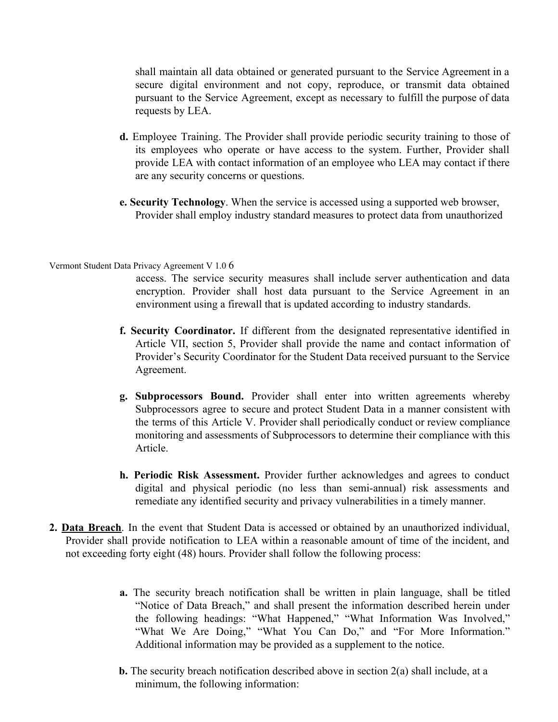shall maintain all data obtained or generated pursuant to the Service Agreement in a secure digital environment and not copy, reproduce, or transmit data obtained pursuant to the Service Agreement, except as necessary to fulfill the purpose of data requests by LEA.

- **d.** Employee Training. The Provider shall provide periodic security training to those of its employees who operate or have access to the system. Further, Provider shall provide LEA with contact information of an employee who LEA may contact if there are any security concerns or questions.
- **e. Security Technology**. When the service is accessed using a supported web browser, Provider shall employ industry standard measures to protect data from unauthorized

#### Vermont Student Data Privacy Agreement V 1.0 6

access. The service security measures shall include server authentication and data encryption. Provider shall host data pursuant to the Service Agreement in an environment using a firewall that is updated according to industry standards.

- **f. Security Coordinator.** If different from the designated representative identified in Article VII, section 5, Provider shall provide the name and contact information of Provider's Security Coordinator for the Student Data received pursuant to the Service Agreement.
- **g. Subprocessors Bound.** Provider shall enter into written agreements whereby Subprocessors agree to secure and protect Student Data in a manner consistent with the terms of this Article V. Provider shall periodically conduct or review compliance monitoring and assessments of Subprocessors to determine their compliance with this Article.
- **h. Periodic Risk Assessment.** Provider further acknowledges and agrees to conduct digital and physical periodic (no less than semi-annual) risk assessments and remediate any identified security and privacy vulnerabilities in a timely manner.
- **2. Data Breach**. In the event that Student Data is accessed or obtained by an unauthorized individual, Provider shall provide notification to LEA within a reasonable amount of time of the incident, and not exceeding forty eight (48) hours. Provider shall follow the following process:
	- **a.** The security breach notification shall be written in plain language, shall be titled "Notice of Data Breach," and shall present the information described herein under the following headings: "What Happened," "What Information Was Involved," "What We Are Doing," "What You Can Do," and "For More Information." Additional information may be provided as a supplement to the notice.
	- **b.** The security breach notification described above in section 2(a) shall include, at a minimum, the following information: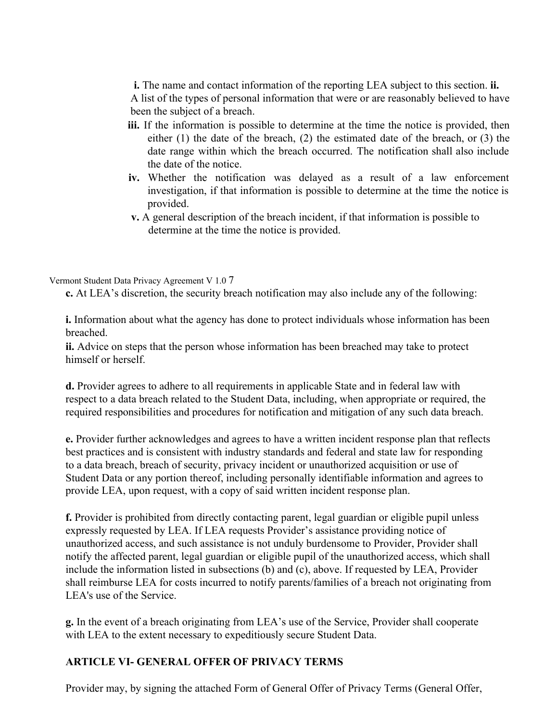**i.** The name and contact information of the reporting LEA subject to this section. **ii.** A list of the types of personal information that were or are reasonably believed to have been the subject of a breach.

- **iii.** If the information is possible to determine at the time the notice is provided, then either (1) the date of the breach, (2) the estimated date of the breach, or (3) the date range within which the breach occurred. The notification shall also include the date of the notice.
- **iv.** Whether the notification was delayed as a result of a law enforcement investigation, if that information is possible to determine at the time the notice is provided.
- **v.** A general description of the breach incident, if that information is possible to determine at the time the notice is provided.

### Vermont Student Data Privacy Agreement V 1.0 7

**c.** At LEA's discretion, the security breach notification may also include any of the following:

**i.** Information about what the agency has done to protect individuals whose information has been breached.

**ii.** Advice on steps that the person whose information has been breached may take to protect himself or herself.

**d.** Provider agrees to adhere to all requirements in applicable State and in federal law with respect to a data breach related to the Student Data, including, when appropriate or required, the required responsibilities and procedures for notification and mitigation of any such data breach.

**e.** Provider further acknowledges and agrees to have a written incident response plan that reflects best practices and is consistent with industry standards and federal and state law for responding to a data breach, breach of security, privacy incident or unauthorized acquisition or use of Student Data or any portion thereof, including personally identifiable information and agrees to provide LEA, upon request, with a copy of said written incident response plan.

**f.** Provider is prohibited from directly contacting parent, legal guardian or eligible pupil unless expressly requested by LEA. If LEA requests Provider's assistance providing notice of unauthorized access, and such assistance is not unduly burdensome to Provider, Provider shall notify the affected parent, legal guardian or eligible pupil of the unauthorized access, which shall include the information listed in subsections (b) and (c), above. If requested by LEA, Provider shall reimburse LEA for costs incurred to notify parents/families of a breach not originating from LEA's use of the Service.

**g.** In the event of a breach originating from LEA's use of the Service, Provider shall cooperate with LEA to the extent necessary to expeditiously secure Student Data.

# **ARTICLE VI- GENERAL OFFER OF PRIVACY TERMS**

Provider may, by signing the attached Form of General Offer of Privacy Terms (General Offer,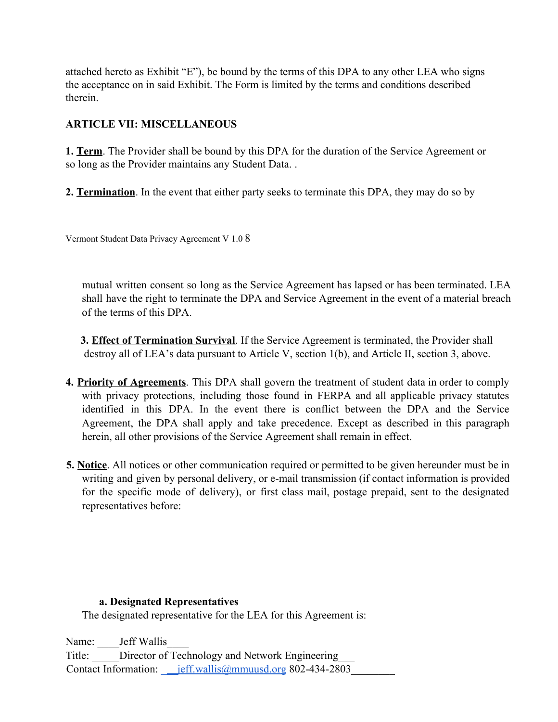attached hereto as Exhibit "E"), be bound by the terms of this DPA to any other LEA who signs the acceptance on in said Exhibit. The Form is limited by the terms and conditions described therein.

# **ARTICLE VII: MISCELLANEOUS**

**1. Term**. The Provider shall be bound by this DPA for the duration of the Service Agreement or so long as the Provider maintains any Student Data. .

**2. Termination**. In the event that either party seeks to terminate this DPA, they may do so by

Vermont Student Data Privacy Agreement V 1.0 8

mutual written consent so long as the Service Agreement has lapsed or has been terminated. LEA shall have the right to terminate the DPA and Service Agreement in the event of a material breach of the terms of this DPA.

**3. Effect of Termination Survival**. If the Service Agreement is terminated, the Provider shall destroy all of LEA's data pursuant to Article V, section 1(b), and Article II, section 3, above.

- **4. Priority of Agreements**. This DPA shall govern the treatment of student data in order to comply with privacy protections, including those found in FERPA and all applicable privacy statutes identified in this DPA. In the event there is conflict between the DPA and the Service Agreement, the DPA shall apply and take precedence. Except as described in this paragraph herein, all other provisions of the Service Agreement shall remain in effect.
- **5. Notice**. All notices or other communication required or permitted to be given hereunder must be in writing and given by personal delivery, or e-mail transmission (if contact information is provided for the specific mode of delivery), or first class mail, postage prepaid, sent to the designated representatives before:

# **a. Designated Representatives**

The designated representative for the LEA for this Agreement is:

Name: \_\_\_\_\_\_Jeff Wallis Title: Director of Technology and Network Engineering Contact Information: \_\_\_jeff.wallis@mmuusd.org 802-434-2803\_\_\_\_\_\_\_\_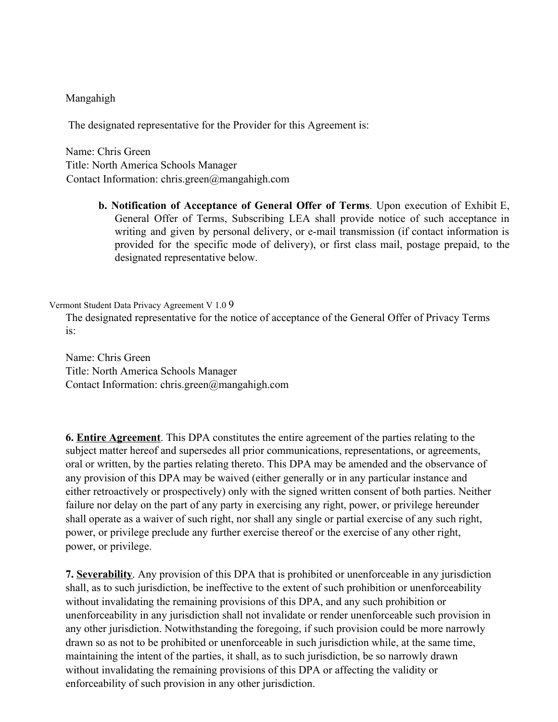### Mangahigh

The designated representative for the Provider for this Agreement is:

Name: Chris Green Title: North America Schools Manager Contact Information: chris.green@mangahigh.com

> **b. Notification of Acceptance of General Offer of Terms**. Upon execution of Exhibit E, General Offer of Terms, Subscribing LEA shall provide notice of such acceptance in writing and given by personal delivery, or e-mail transmission (if contact information is provided for the specific mode of delivery), or first class mail, postage prepaid, to the designated representative below.

Vermont Student Data Privacy Agreement V 1.0 9

The designated representative for the notice of acceptance of the General Offer of Privacy Terms is:

Name: Chris Green Title: North America Schools Manager Contact Information: chris.green@mangahigh.com

**6. Entire Agreement**. This DPA constitutes the entire agreement of the parties relating to the subject matter hereof and supersedes all prior communications, representations, or agreements, oral or written, by the parties relating thereto. This DPA may be amended and the observance of any provision of this DPA may be waived (either generally or in any particular instance and either retroactively or prospectively) only with the signed written consent of both parties. Neither failure nor delay on the part of any party in exercising any right, power, or privilege hereunder shall operate as a waiver of such right, nor shall any single or partial exercise of any such right, power, or privilege preclude any further exercise thereof or the exercise of any other right, power, or privilege.

**7. Severability**. Any provision of this DPA that is prohibited or unenforceable in any jurisdiction shall, as to such jurisdiction, be ineffective to the extent of such prohibition or unenforceability without invalidating the remaining provisions of this DPA, and any such prohibition or unenforceability in any jurisdiction shall not invalidate or render unenforceable such provision in any other jurisdiction. Notwithstanding the foregoing, if such provision could be more narrowly drawn so as not to be prohibited or unenforceable in such jurisdiction while, at the same time, maintaining the intent of the parties, it shall, as to such jurisdiction, be so narrowly drawn without invalidating the remaining provisions of this DPA or affecting the validity or enforceability of such provision in any other jurisdiction.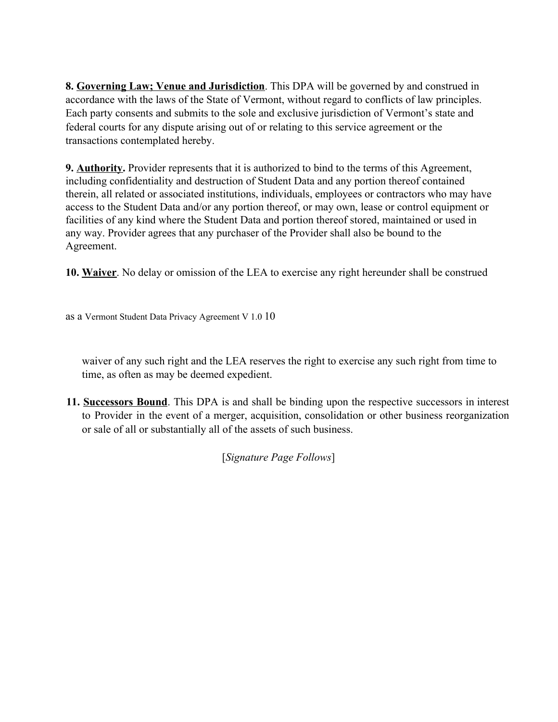**8. Governing Law; Venue and Jurisdiction**. This DPA will be governed by and construed in accordance with the laws of the State of Vermont, without regard to conflicts of law principles. Each party consents and submits to the sole and exclusive jurisdiction of Vermont's state and federal courts for any dispute arising out of or relating to this service agreement or the transactions contemplated hereby.

**9. Authority.** Provider represents that it is authorized to bind to the terms of this Agreement, including confidentiality and destruction of Student Data and any portion thereof contained therein, all related or associated institutions, individuals, employees or contractors who may have access to the Student Data and/or any portion thereof, or may own, lease or control equipment or facilities of any kind where the Student Data and portion thereof stored, maintained or used in any way. Provider agrees that any purchaser of the Provider shall also be bound to the Agreement.

**10. Waiver**. No delay or omission of the LEA to exercise any right hereunder shall be construed

as a Vermont Student Data Privacy Agreement V 1.0 10

waiver of any such right and the LEA reserves the right to exercise any such right from time to time, as often as may be deemed expedient.

**11. Successors Bound**. This DPA is and shall be binding upon the respective successors in interest to Provider in the event of a merger, acquisition, consolidation or other business reorganization or sale of all or substantially all of the assets of such business.

[*Signature Page Follows*]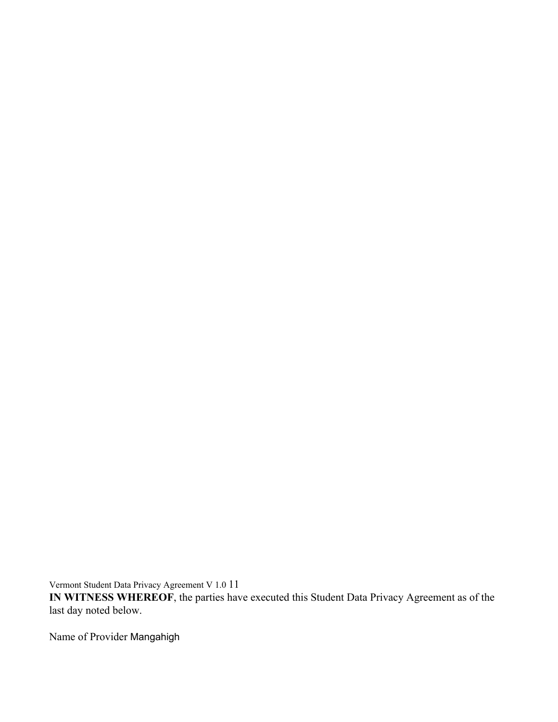Vermont Student Data Privacy Agreement V 1.0 11

**IN WITNESS WHEREOF**, the parties have executed this Student Data Privacy Agreement as of the last day noted below.

Name of Provider Mangahigh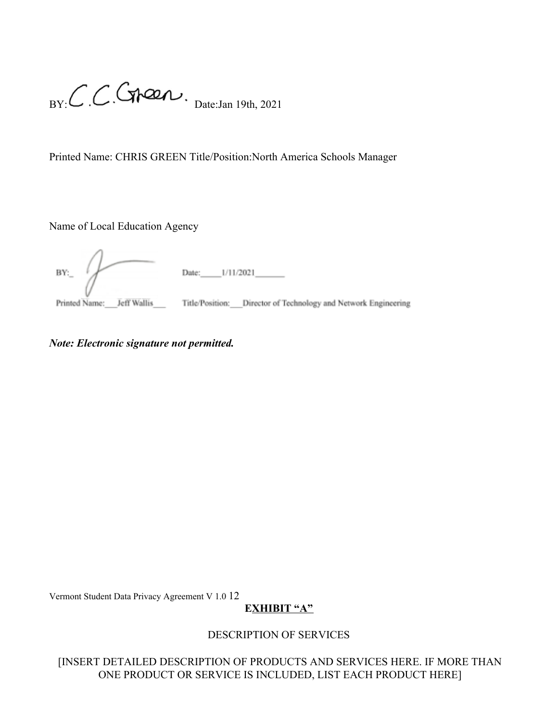$B_Y: C.C.C$   $A221$ <br>Date:Jan 19th, 2021

Printed Name: CHRIS GREEN Title/Position:North America Schools Manager

Name of Local Education Agency

BY: Printed Name: Jeff Wallis Title/Position: Director of Technology and Network Engineering

*Note: Electronic signature not permitted.*

Vermont Student Data Privacy Agreement V 1.0 12

# **EXHIBIT "A"**

# DESCRIPTION OF SERVICES

[INSERT DETAILED DESCRIPTION OF PRODUCTS AND SERVICES HERE. IF MORE THAN ONE PRODUCT OR SERVICE IS INCLUDED, LIST EACH PRODUCT HERE]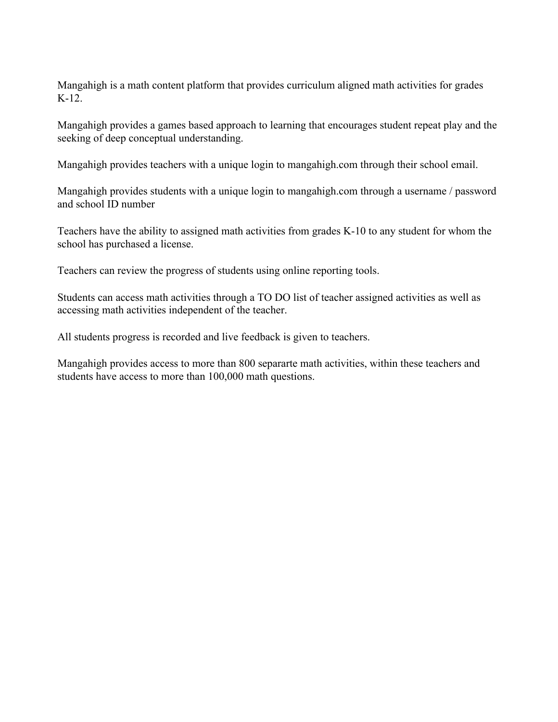Mangahigh is a math content platform that provides curriculum aligned math activities for grades K-12.

Mangahigh provides a games based approach to learning that encourages student repeat play and the seeking of deep conceptual understanding.

Mangahigh provides teachers with a unique login to mangahigh.com through their school email.

Mangahigh provides students with a unique login to mangahigh.com through a username / password and school ID number

Teachers have the ability to assigned math activities from grades K-10 to any student for whom the school has purchased a license.

Teachers can review the progress of students using online reporting tools.

Students can access math activities through a TO DO list of teacher assigned activities as well as accessing math activities independent of the teacher.

All students progress is recorded and live feedback is given to teachers.

Mangahigh provides access to more than 800 separarte math activities, within these teachers and students have access to more than 100,000 math questions.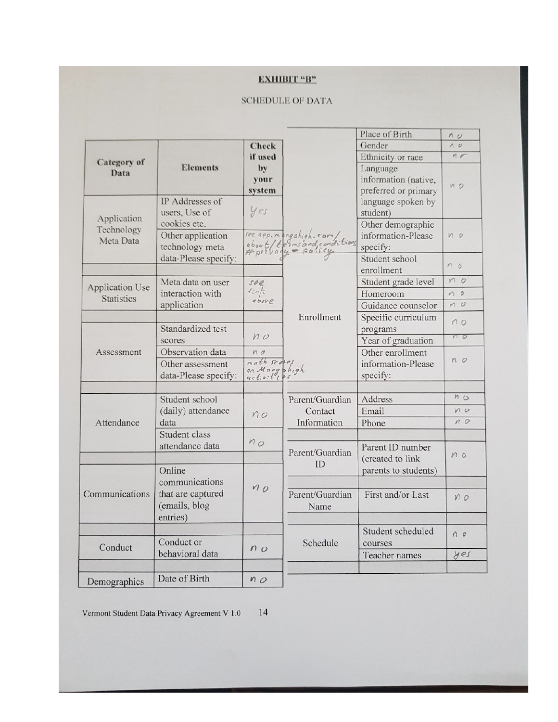## **EXHIBIT "B"**

#### **SCHEDULE OF DATA**

|                           |                            |                |                                                                           | Place of Birth       | n <sub>o</sub> |
|---------------------------|----------------------------|----------------|---------------------------------------------------------------------------|----------------------|----------------|
|                           |                            | <b>Check</b>   |                                                                           | Gender               | 10             |
| Category of               |                            | if used        |                                                                           | Ethnicity or race    | $n \sigma$     |
| Data                      | <b>Elements</b>            | by             |                                                                           | Language             |                |
|                           |                            | your           |                                                                           | information (native, |                |
|                           |                            | system         |                                                                           | preferred or primary | $M$ $O$        |
|                           | IP Addresses of            | yes            |                                                                           | language spoken by   |                |
| Application<br>Technology | users, Use of              |                |                                                                           | student)             |                |
|                           | cookies etc.               |                |                                                                           | Other demographic    |                |
| Meta Data                 | Other application          |                |                                                                           | information-Please   | M <sub>o</sub> |
|                           | technology meta            |                | see app.mengahigh.com/<br>about/terms and conditions<br>#pt: Vaque policy | specify:             |                |
|                           | data-Please specify:       |                |                                                                           | Student school       |                |
|                           |                            |                |                                                                           | enrollment           | n <sub>0</sub> |
|                           | Meta data on user          | see            |                                                                           | Student grade level  | n <sub>0</sub> |
| Application Use           | interaction with           | $\ln\sqrt{r}$  |                                                                           | Homeroom             | $n$ 0          |
| Statistics                | application                | above          |                                                                           | Guidance counselor   | $n$ $v$        |
|                           |                            |                | Enrollment                                                                | Specific curriculum  |                |
|                           | Standardized test          | $n \circ$      |                                                                           | programs             | 10             |
|                           | scores                     |                |                                                                           | Year of graduation   | 10             |
| Assessment                | Observation data           | nQ             |                                                                           | Other enrollment     |                |
|                           | Other assessment           | math scove     |                                                                           | information-Please   | $n$ $o$        |
|                           | data-Please specify:       | on Mangahigh   |                                                                           | specify:             |                |
|                           |                            |                |                                                                           |                      |                |
|                           | Student school             |                | Parent/Guardian                                                           | Address              | n <sub>O</sub> |
|                           | (daily) attendance<br>data | n <sub>o</sub> | Contact                                                                   | Email                | n              |
| Attendance                |                            |                | Information                                                               | Phone                | $n$ $o$        |
|                           | Student class              |                |                                                                           |                      |                |
|                           | attendance data            | $M_{O}$        |                                                                           | Parent ID number     |                |
|                           |                            |                | Parent/Guardian                                                           | (created to link     | M <sub>o</sub> |
|                           | Online                     |                | ID                                                                        | parents to students) |                |
| Communications            | communications             |                |                                                                           |                      |                |
|                           |                            | n <sub>0</sub> |                                                                           |                      |                |
|                           | that are captured          |                | Parent/Guardian<br>Name                                                   | First and/or Last    | NO             |
|                           | (emails, blog              |                |                                                                           |                      |                |
|                           | entries)                   |                |                                                                           |                      |                |
| Conduct                   |                            |                | Schedule                                                                  | Student scheduled    | $n$ $\sigma$   |
|                           | Conduct or                 | $n_{O}$        |                                                                           | courses              |                |
|                           | behavioral data            |                |                                                                           | Teacher names        | yes            |
|                           |                            |                |                                                                           |                      |                |
| Demographics              | Date of Birth              | n <sub>O</sub> |                                                                           |                      |                |
|                           |                            |                |                                                                           |                      |                |

Vermont Student Data Privacy Agreement V 1.0

14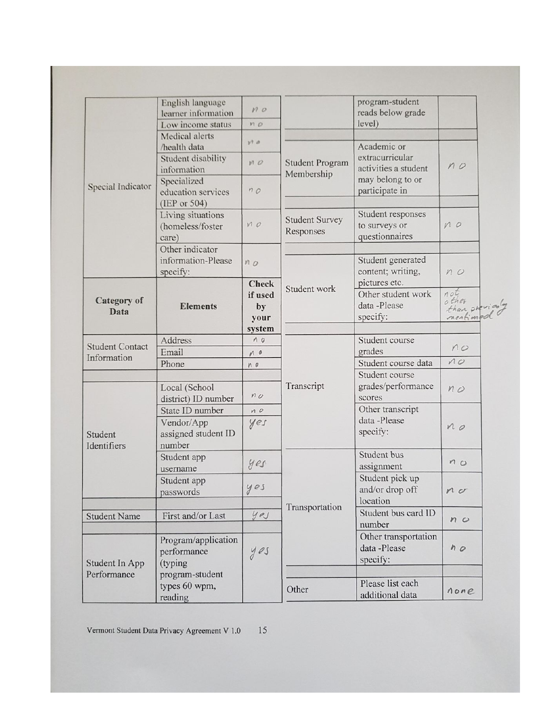|                                       | English language<br>learner information           | $n \circ$                             |                                      | program-student<br>reads below grade                            |                                             |
|---------------------------------------|---------------------------------------------------|---------------------------------------|--------------------------------------|-----------------------------------------------------------------|---------------------------------------------|
|                                       | Low income status                                 | $n$ o                                 |                                      | level)                                                          |                                             |
| Special Indicator                     | Medical alerts<br>/health data                    | V10                                   |                                      | Academic or                                                     |                                             |
|                                       | Student disability<br>information                 | MO                                    | <b>Student Program</b><br>Membership | extracurricular<br>activities a student                         | n <sub>o</sub>                              |
|                                       | Specialized<br>education services<br>(IEP or 504) | nQ                                    |                                      | may belong to or<br>participate in                              |                                             |
|                                       | Living situations<br>(homeless/foster<br>care)    | MQ                                    | <b>Student Survey</b><br>Responses   | Student responses<br>to surveys or<br>questionnaires            | n                                           |
|                                       | Other indicator                                   |                                       |                                      |                                                                 |                                             |
|                                       | information-Please<br>specify:                    | $n_{O}$                               |                                      | Student generated<br>content; writing,                          | n                                           |
| Category of<br>Data                   | <b>Elements</b>                                   | <b>Check</b><br>if used<br>by<br>your | Student work                         | pictures etc.<br>Other student work<br>data -Please<br>specify: | not<br>other<br>than previousy<br>nentioned |
|                                       |                                                   | system                                |                                      |                                                                 |                                             |
| <b>Student Contact</b><br>Information | Address                                           | 10                                    |                                      | Student course                                                  |                                             |
|                                       | Email                                             | M <sub>0</sub>                        |                                      | grades                                                          | n                                           |
|                                       | Phone                                             | MQ                                    |                                      | Student course data                                             | 10                                          |
|                                       |                                                   |                                       |                                      | Student course                                                  |                                             |
|                                       | Local (School<br>district) ID number              | $n_{O}$                               | Transcript                           | grades/performance<br>scores                                    | $n \varphi$                                 |
|                                       | State ID number                                   | n                                     |                                      | Other transcript                                                |                                             |
| Student<br>Identifiers                | Vendor/App<br>assigned student ID<br>number       | yes                                   |                                      | data -Please<br>specify:                                        | n <sub>o</sub>                              |
|                                       | Student app<br>username                           | yes                                   |                                      | Student bus<br>assignment                                       | n <sub>O</sub>                              |
|                                       | Student app<br>passwords                          | yes                                   |                                      | Student pick up<br>and/or drop off                              | $n_{\sigma}$                                |
|                                       |                                                   |                                       | Transportation                       | location                                                        |                                             |
| <b>Student Name</b>                   | First and/or Last                                 | yes                                   |                                      | Student bus card ID<br>number                                   | n <sub>o</sub>                              |
| <b>Student In App</b><br>Performance  | Program/application<br>performance<br>(typing)    | yes                                   |                                      | Other transportation<br>data -Please<br>specify:                | n <sub>o</sub>                              |
|                                       | program-student                                   |                                       |                                      |                                                                 |                                             |
|                                       | types 60 wpm,<br>reading                          |                                       | Other                                | Please list each<br>additional data                             | none                                        |

Vermont Student Data Privacy Agreement V 1.0 15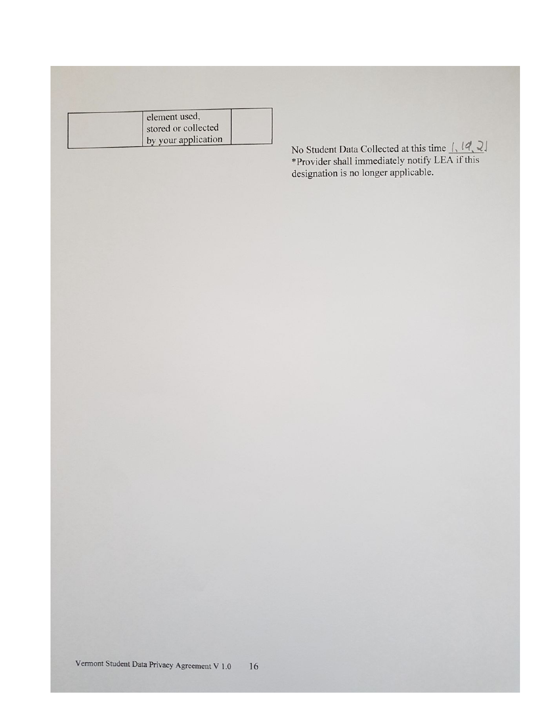| element used,       |  |
|---------------------|--|
| stored or collected |  |
| by your application |  |

No Student Data Collected at this time  $\left| \right|$ ,  $\left| \mathcal{A} \right|$ ,  $\mathcal{A}$ <br>\*Provider shall immediately notify LEA if this designation is no longer applicable.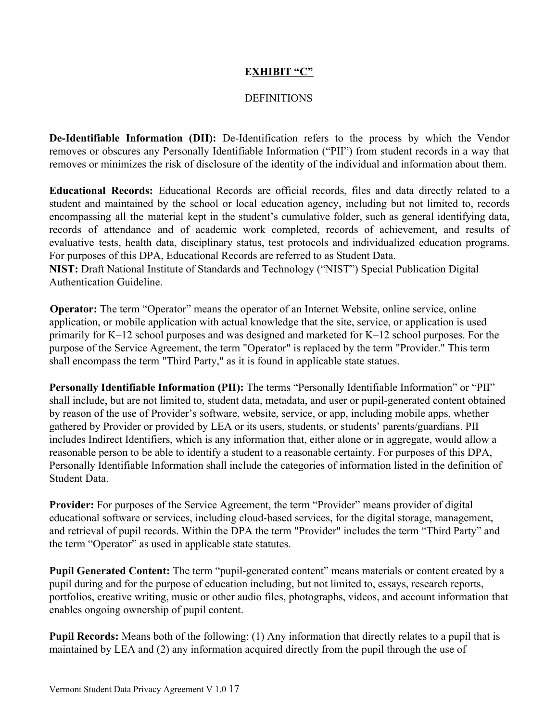### **EXHIBIT "C"**

## **DEFINITIONS**

**De-Identifiable Information (DII):** De-Identification refers to the process by which the Vendor removes or obscures any Personally Identifiable Information ("PII") from student records in a way that removes or minimizes the risk of disclosure of the identity of the individual and information about them.

**Educational Records:** Educational Records are official records, files and data directly related to a student and maintained by the school or local education agency, including but not limited to, records encompassing all the material kept in the student's cumulative folder, such as general identifying data, records of attendance and of academic work completed, records of achievement, and results of evaluative tests, health data, disciplinary status, test protocols and individualized education programs. For purposes of this DPA, Educational Records are referred to as Student Data.

**NIST:** Draft National Institute of Standards and Technology ("NIST") Special Publication Digital Authentication Guideline.

**Operator:** The term "Operator" means the operator of an Internet Website, online service, online application, or mobile application with actual knowledge that the site, service, or application is used primarily for K–12 school purposes and was designed and marketed for K–12 school purposes. For the purpose of the Service Agreement, the term "Operator" is replaced by the term "Provider." This term shall encompass the term "Third Party," as it is found in applicable state statues.

**Personally Identifiable Information (PII):** The terms "Personally Identifiable Information" or "PII" shall include, but are not limited to, student data, metadata, and user or pupil-generated content obtained by reason of the use of Provider's software, website, service, or app, including mobile apps, whether gathered by Provider or provided by LEA or its users, students, or students' parents/guardians. PII includes Indirect Identifiers, which is any information that, either alone or in aggregate, would allow a reasonable person to be able to identify a student to a reasonable certainty. For purposes of this DPA, Personally Identifiable Information shall include the categories of information listed in the definition of Student Data.

**Provider:** For purposes of the Service Agreement, the term "Provider" means provider of digital educational software or services, including cloud-based services, for the digital storage, management, and retrieval of pupil records. Within the DPA the term "Provider" includes the term "Third Party" and the term "Operator" as used in applicable state statutes.

**Pupil Generated Content:** The term "pupil-generated content" means materials or content created by a pupil during and for the purpose of education including, but not limited to, essays, research reports, portfolios, creative writing, music or other audio files, photographs, videos, and account information that enables ongoing ownership of pupil content.

**Pupil Records:** Means both of the following: (1) Any information that directly relates to a pupil that is maintained by LEA and (2) any information acquired directly from the pupil through the use of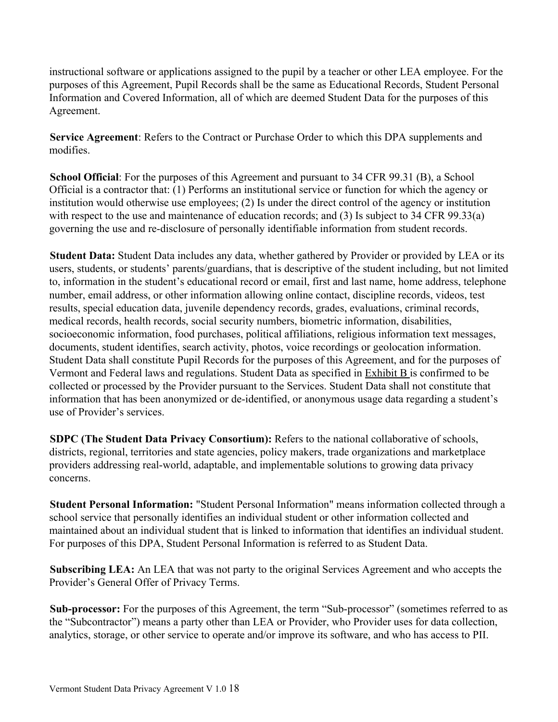instructional software or applications assigned to the pupil by a teacher or other LEA employee. For the purposes of this Agreement, Pupil Records shall be the same as Educational Records, Student Personal Information and Covered Information, all of which are deemed Student Data for the purposes of this Agreement.

**Service Agreement**: Refers to the Contract or Purchase Order to which this DPA supplements and modifies.

**School Official**: For the purposes of this Agreement and pursuant to 34 CFR 99.31 (B), a School Official is a contractor that: (1) Performs an institutional service or function for which the agency or institution would otherwise use employees; (2) Is under the direct control of the agency or institution with respect to the use and maintenance of education records; and (3) Is subject to 34 CFR 99.33(a) governing the use and re-disclosure of personally identifiable information from student records.

**Student Data:** Student Data includes any data, whether gathered by Provider or provided by LEA or its users, students, or students' parents/guardians, that is descriptive of the student including, but not limited to, information in the student's educational record or email, first and last name, home address, telephone number, email address, or other information allowing online contact, discipline records, videos, test results, special education data, juvenile dependency records, grades, evaluations, criminal records, medical records, health records, social security numbers, biometric information, disabilities, socioeconomic information, food purchases, political affiliations, religious information text messages, documents, student identifies, search activity, photos, voice recordings or geolocation information. Student Data shall constitute Pupil Records for the purposes of this Agreement, and for the purposes of Vermont and Federal laws and regulations. Student Data as specified in Exhibit B is confirmed to be collected or processed by the Provider pursuant to the Services. Student Data shall not constitute that information that has been anonymized or de-identified, or anonymous usage data regarding a student's use of Provider's services.

**SDPC (The Student Data Privacy Consortium):** Refers to the national collaborative of schools, districts, regional, territories and state agencies, policy makers, trade organizations and marketplace providers addressing real-world, adaptable, and implementable solutions to growing data privacy concerns.

**Student Personal Information:** "Student Personal Information" means information collected through a school service that personally identifies an individual student or other information collected and maintained about an individual student that is linked to information that identifies an individual student. For purposes of this DPA, Student Personal Information is referred to as Student Data.

**Subscribing LEA:** An LEA that was not party to the original Services Agreement and who accepts the Provider's General Offer of Privacy Terms.

**Sub-processor:** For the purposes of this Agreement, the term "Sub-processor" (sometimes referred to as the "Subcontractor") means a party other than LEA or Provider, who Provider uses for data collection, analytics, storage, or other service to operate and/or improve its software, and who has access to PII.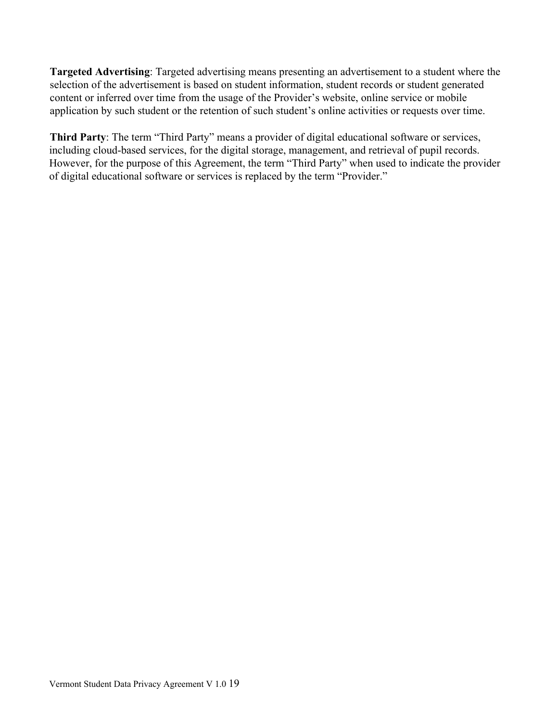**Targeted Advertising**: Targeted advertising means presenting an advertisement to a student where the selection of the advertisement is based on student information, student records or student generated content or inferred over time from the usage of the Provider's website, online service or mobile application by such student or the retention of such student's online activities or requests over time.

**Third Party**: The term "Third Party" means a provider of digital educational software or services, including cloud-based services, for the digital storage, management, and retrieval of pupil records. However, for the purpose of this Agreement, the term "Third Party" when used to indicate the provider of digital educational software or services is replaced by the term "Provider."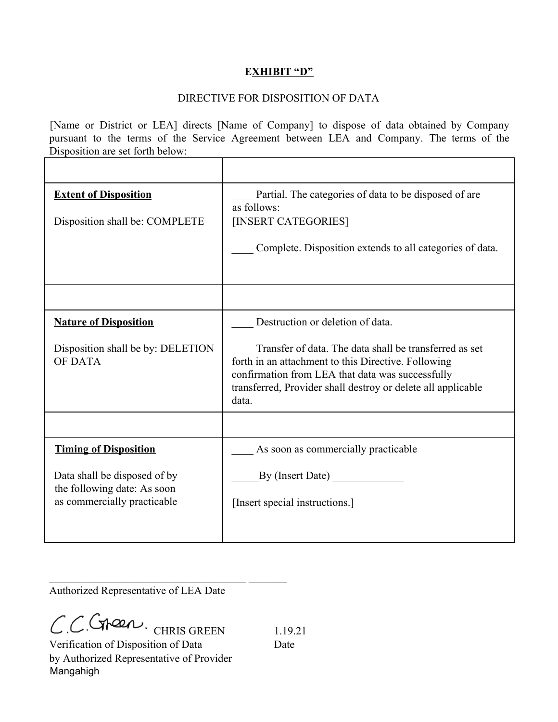## **EXHIBIT "D"**

## DIRECTIVE FOR DISPOSITION OF DATA

[Name or District or LEA] directs [Name of Company] to dispose of data obtained by Company pursuant to the terms of the Service Agreement between LEA and Company. The terms of the Disposition are set forth below:

| <b>Extent of Disposition</b>                                                               | Partial. The categories of data to be disposed of are.<br>as follows:                                                                                                                                                                      |
|--------------------------------------------------------------------------------------------|--------------------------------------------------------------------------------------------------------------------------------------------------------------------------------------------------------------------------------------------|
| Disposition shall be: COMPLETE                                                             | [INSERT CATEGORIES]                                                                                                                                                                                                                        |
|                                                                                            | Complete. Disposition extends to all categories of data.                                                                                                                                                                                   |
|                                                                                            |                                                                                                                                                                                                                                            |
| <b>Nature of Disposition</b>                                                               | Destruction or deletion of data.                                                                                                                                                                                                           |
| Disposition shall be by: DELETION<br><b>OF DATA</b>                                        | Transfer of data. The data shall be transferred as set<br>forth in an attachment to this Directive. Following<br>confirmation from LEA that data was successfully<br>transferred, Provider shall destroy or delete all applicable<br>data. |
|                                                                                            |                                                                                                                                                                                                                                            |
| <b>Timing of Disposition</b>                                                               | As soon as commercially practicable                                                                                                                                                                                                        |
| Data shall be disposed of by<br>the following date: As soon<br>as commercially practicable | By (Insert Date)<br>[Insert special instructions.]                                                                                                                                                                                         |

Authorized Representative of LEA Date

 $\mathcal{L}_\text{max}$  , and the set of the set of the set of the set of the set of the set of the set of the set of the set of the set of the set of the set of the set of the set of the set of the set of the set of the set of the

 $C.C$ Steen 1.19.21

Verification of Disposition of Data Date by Authorized Representative of Provider Mangahigh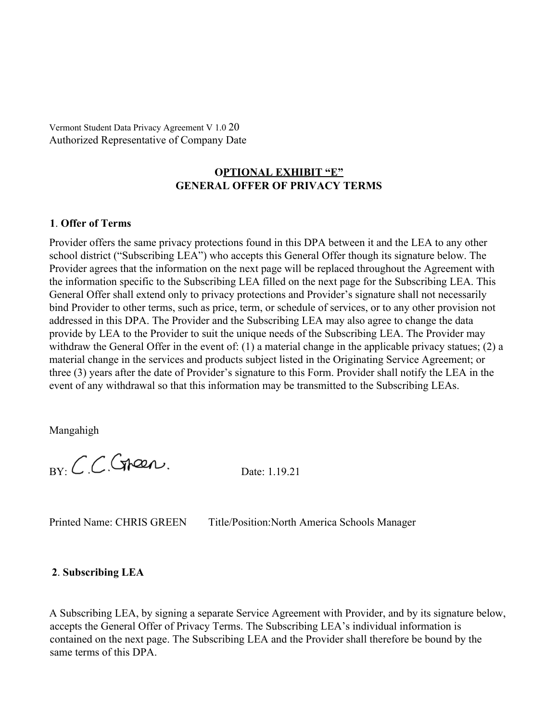Vermont Student Data Privacy Agreement V 1.0 20 Authorized Representative of Company Date

## **OPTIONAL EXHIBIT "E" GENERAL OFFER OF PRIVACY TERMS**

#### **1**. **Offer of Terms**

Provider offers the same privacy protections found in this DPA between it and the LEA to any other school district ("Subscribing LEA") who accepts this General Offer though its signature below. The Provider agrees that the information on the next page will be replaced throughout the Agreement with the information specific to the Subscribing LEA filled on the next page for the Subscribing LEA. This General Offer shall extend only to privacy protections and Provider's signature shall not necessarily bind Provider to other terms, such as price, term, or schedule of services, or to any other provision not addressed in this DPA. The Provider and the Subscribing LEA may also agree to change the data provide by LEA to the Provider to suit the unique needs of the Subscribing LEA. The Provider may withdraw the General Offer in the event of: (1) a material change in the applicable privacy statues; (2) a material change in the services and products subject listed in the Originating Service Agreement; or three (3) years after the date of Provider's signature to this Form. Provider shall notify the LEA in the event of any withdrawal so that this information may be transmitted to the Subscribing LEAs.

Mangahigh

 $_{\text{BY}}$  CCC traen.<br>Date: 1.19.21

Printed Name: CHRIS GREEN Title/Position:North America Schools Manager

#### **2**. **Subscribing LEA**

A Subscribing LEA, by signing a separate Service Agreement with Provider, and by its signature below, accepts the General Offer of Privacy Terms. The Subscribing LEA's individual information is contained on the next page. The Subscribing LEA and the Provider shall therefore be bound by the same terms of this DPA.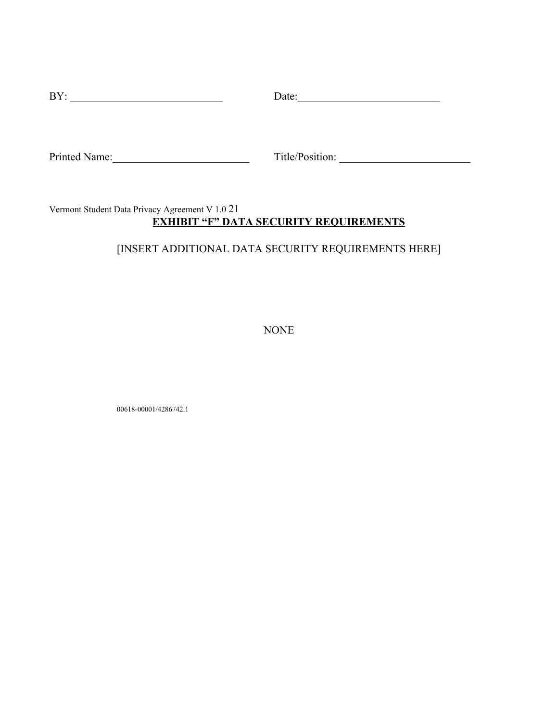| BY:           | Date:           |
|---------------|-----------------|
|               |                 |
|               |                 |
|               |                 |
| Printed Name: | Title/Position: |

# Vermont Student Data Privacy Agreement V 1.0 21 **EXHIBIT "F" DATA SECURITY REQUIREMENTS**

# [INSERT ADDITIONAL DATA SECURITY REQUIREMENTS HERE]

NONE

00618-00001/4286742.1